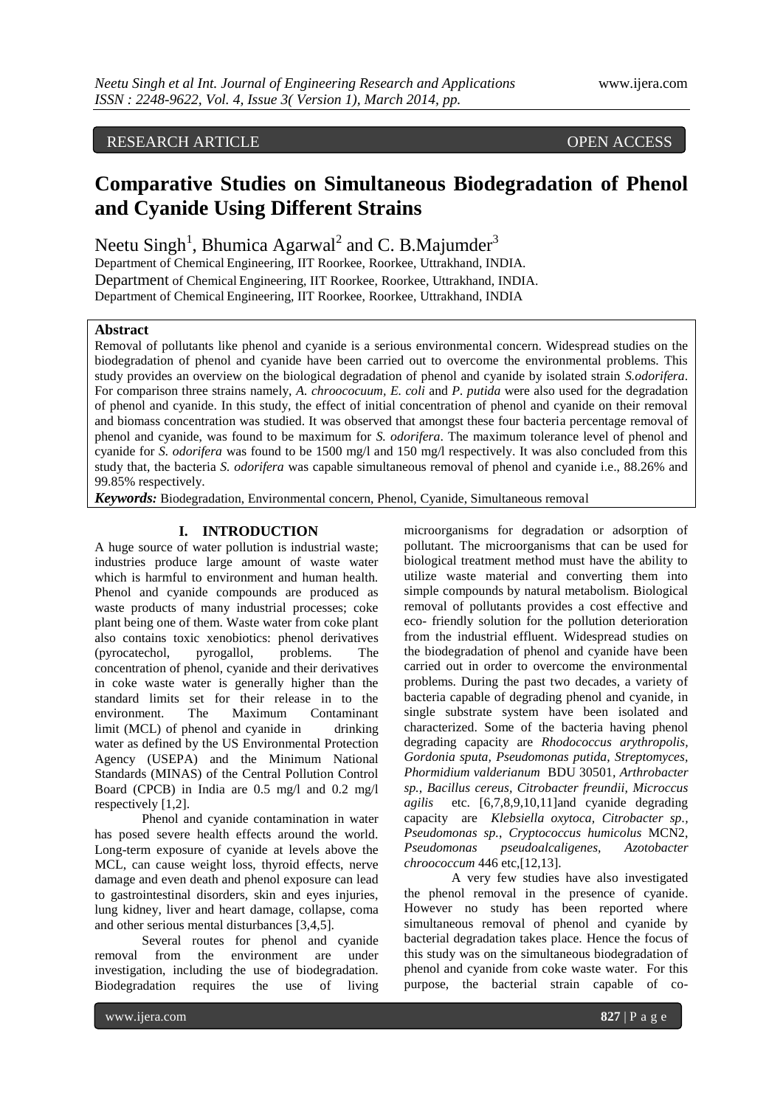# RESEARCH ARTICLE OPEN ACCESS

# **Comparative Studies on Simultaneous Biodegradation of Phenol and Cyanide Using Different Strains**

Neetu Singh<sup>1</sup>, Bhumica Agarwal<sup>2</sup> and C. B.Majumder<sup>3</sup>

Department of Chemical Engineering, IIT Roorkee, Roorkee, Uttrakhand, INDIA. Department of Chemical Engineering, IIT Roorkee, Roorkee, Uttrakhand, INDIA. Department of Chemical Engineering, IIT Roorkee, Roorkee, Uttrakhand, INDIA

#### **Abstract**

Removal of pollutants like phenol and cyanide is a serious environmental concern. Widespread studies on the biodegradation of phenol and cyanide have been carried out to overcome the environmental problems. This study provides an overview on the biological degradation of phenol and cyanide by isolated strain *S.odorifera*. For comparison three strains namely, *A. chroococuum, E. coli* and *P. putida* were also used for the degradation of phenol and cyanide. In this study, the effect of initial concentration of phenol and cyanide on their removal and biomass concentration was studied. It was observed that amongst these four bacteria percentage removal of phenol and cyanide, was found to be maximum for *S. odorifera*. The maximum tolerance level of phenol and cyanide for *S. odorifera* was found to be 1500 mg/l and 150 mg/l respectively. It was also concluded from this study that, the bacteria *S. odorifera* was capable simultaneous removal of phenol and cyanide i.e., 88.26% and 99.85% respectively.

*Keywords:* Biodegradation, Environmental concern, Phenol, Cyanide, Simultaneous removal

# **I. INTRODUCTION**

A huge source of water pollution is industrial waste; industries produce large amount of waste water which is harmful to environment and human health. Phenol and cyanide compounds are produced as waste products of many industrial processes; coke plant being one of them. Waste water from coke plant also contains toxic xenobiotics: phenol derivatives (pyrocatechol, pyrogallol, problems. The concentration of phenol, cyanide and their derivatives in coke waste water is generally higher than the standard limits set for their release in to the environment. The Maximum Contaminant limit (MCL) of phenol and cyanide in drinking water as defined by the US Environmental Protection Agency (USEPA) and the Minimum National Standards (MINAS) of the Central Pollution Control Board (CPCB) in India are 0.5 mg/l and 0.2 mg/l respectively [1,2].

Phenol and cyanide contamination in water has posed severe health effects around the world. Long-term exposure of cyanide at levels above the MCL, can cause weight loss, thyroid effects, nerve damage and even death and phenol exposure can lead to gastrointestinal disorders, skin and eyes injuries, lung kidney, liver and heart damage, collapse, coma and other serious mental disturbances [3,4,5].

Several routes for phenol and cyanide removal from the environment are under investigation, including the use of biodegradation. Biodegradation requires the use of living

microorganisms for degradation or adsorption of pollutant. The microorganisms that can be used for biological treatment method must have the ability to utilize waste material and converting them into simple compounds by natural metabolism. Biological removal of pollutants provides a cost effective and eco- friendly solution for the pollution deterioration from the industrial effluent. Widespread studies on the biodegradation of phenol and cyanide have been carried out in order to overcome the environmental problems. During the past two decades, a variety of bacteria capable of degrading phenol and cyanide, in single substrate system have been isolated and characterized. Some of the bacteria having phenol degrading capacity are *Rhodococcus arythropolis, Gordonia sputa, Pseudomonas putida, Streptomyces, Phormidium valderianum* BDU 30501*, Arthrobacter sp., Bacillus cereus, Citrobacter freundii, Microccus agilis* etc. [6,7,8,9,10,11]and cyanide degrading capacity are *Klebsiella oxytoca, Citrobacter sp., Pseudomonas sp.*, *Cryptococcus humicolus* MCN2, *Pseudomonas pseudoalcaligenes, Azotobacter chroococcum* 446 etc,[12,13].

A very few studies have also investigated the phenol removal in the presence of cyanide. However no study has been reported where simultaneous removal of phenol and cyanide by bacterial degradation takes place. Hence the focus of this study was on the simultaneous biodegradation of phenol and cyanide from coke waste water. For this purpose, the bacterial strain capable of co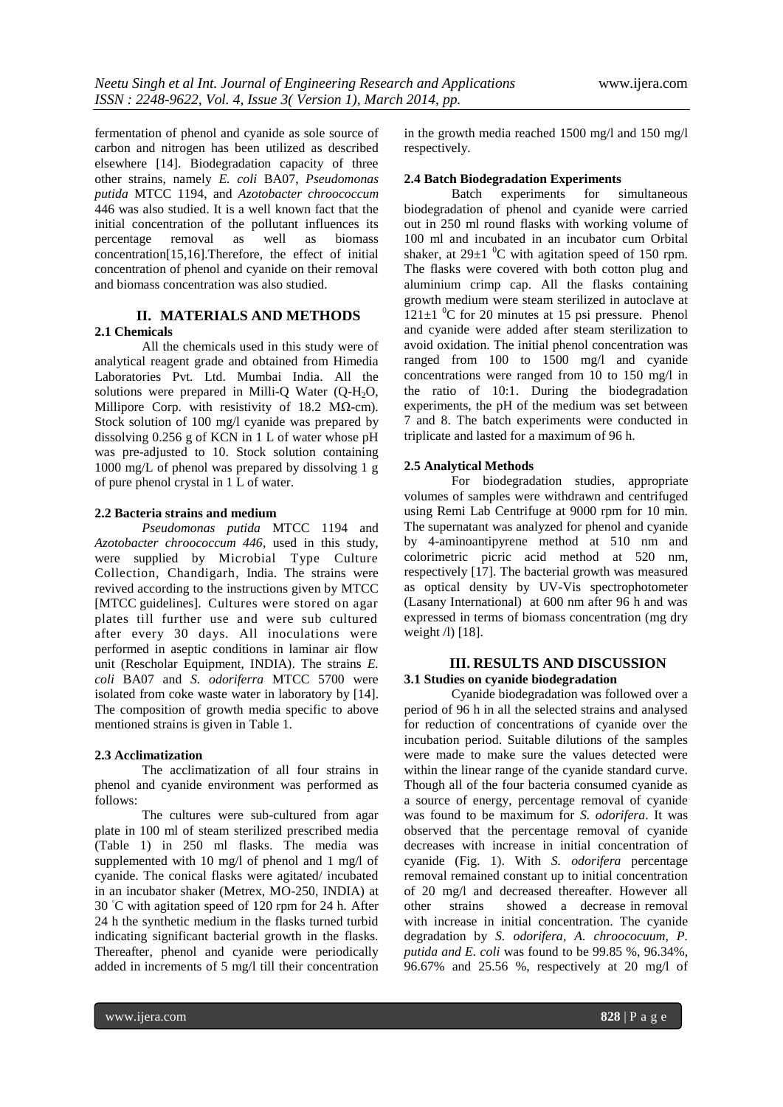fermentation of phenol and cyanide as sole source of carbon and nitrogen has been utilized as described elsewhere [14]. Biodegradation capacity of three other strains, namely *E. coli* BA07, *Pseudomonas putida* MTCC 1194, and *Azotobacter chroococcum*  446 was also studied. It is a well known fact that the initial concentration of the pollutant influences its percentage removal as well as biomass concentration[15,16].Therefore, the effect of initial concentration of phenol and cyanide on their removal and biomass concentration was also studied.

# **II. MATERIALS AND METHODS 2.1 Chemicals**

All the chemicals used in this study were of analytical reagent grade and obtained from Himedia Laboratories Pvt. Ltd. Mumbai India. All the solutions were prepared in Milli-Q Water (Q-H2O, Millipore Corp. with resistivity of 18.2 MΩ-cm). Stock solution of 100 mg/l cyanide was prepared by dissolving 0.256 g of KCN in 1 L of water whose pH was pre-adjusted to 10. Stock solution containing 1000 mg/L of phenol was prepared by dissolving 1 g of pure phenol crystal in 1 L of water.

#### **2.2 Bacteria strains and medium**

*Pseudomonas putida* MTCC 1194 and *Azotobacter chroococcum 446,* used in this study, were supplied by Microbial Type Culture Collection, Chandigarh, India. The strains were revived according to the instructions given by MTCC [MTCC guidelines]. Cultures were stored on agar plates till further use and were sub cultured after every 30 days. All inoculations were performed in aseptic conditions in laminar air flow unit (Rescholar Equipment, INDIA). The strains *E. coli* BA07 and *S. odoriferra* MTCC 5700 were isolated from coke waste water in laboratory by [14]. The composition of growth media specific to above mentioned strains is given in Table 1.

# **2.3 Acclimatization**

The acclimatization of all four strains in phenol and cyanide environment was performed as follows:

The cultures were sub-cultured from agar plate in 100 ml of steam sterilized prescribed media (Table 1) in 250 ml flasks. The media was supplemented with 10 mg/l of phenol and 1 mg/l of cyanide. The conical flasks were agitated/ incubated in an incubator shaker (Metrex, MO-250, INDIA) at 30 ◦C with agitation speed of 120 rpm for 24 h. After 24 h the synthetic medium in the flasks turned turbid indicating significant bacterial growth in the flasks. Thereafter, phenol and cyanide were periodically added in increments of 5 mg/l till their concentration

in the growth media reached 1500 mg/l and 150 mg/l respectively.

### **2.4 Batch Biodegradation Experiments**

Batch experiments for simultaneous biodegradation of phenol and cyanide were carried out in 250 ml round flasks with working volume of 100 ml and incubated in an incubator cum Orbital shaker, at  $29\pm1$  <sup>0</sup>C with agitation speed of 150 rpm. The flasks were covered with both cotton plug and aluminium crimp cap. All the flasks containing growth medium were steam sterilized in autoclave at  $121\pm1$  <sup>0</sup>C for 20 minutes at 15 psi pressure. Phenol and cyanide were added after steam sterilization to avoid oxidation. The initial phenol concentration was ranged from 100 to 1500 mg/l and cyanide concentrations were ranged from 10 to 150 mg/l in the ratio of 10:1. During the biodegradation experiments, the pH of the medium was set between 7 and 8. The batch experiments were conducted in triplicate and lasted for a maximum of 96 h.

# **2.5 Analytical Methods**

For biodegradation studies, appropriate volumes of samples were withdrawn and centrifuged using Remi Lab Centrifuge at 9000 rpm for 10 min. The supernatant was analyzed for phenol and cyanide by 4-aminoantipyrene method at 510 nm and colorimetric picric acid method at 520 nm, respectively [17]. The bacterial growth was measured as optical density by UV-Vis spectrophotometer (Lasany International) at 600 nm after 96 h and was expressed in terms of biomass concentration (mg dry weight  $\pi$  [18].

# **III. RESULTS AND DISCUSSION 3.1 Studies on cyanide biodegradation**

Cyanide biodegradation was followed over a period of 96 h in all the selected strains and analysed for reduction of concentrations of cyanide over the incubation period. Suitable dilutions of the samples were made to make sure the values detected were within the linear range of the cyanide standard curve. Though all of the four bacteria consumed cyanide as a source of energy, percentage removal of cyanide was found to be maximum for *S. odorifera*. It was observed that the percentage removal of cyanide decreases with increase in initial concentration of cyanide (Fig. 1). With *S. odorifera* percentage removal remained constant up to initial concentration of 20 mg/l and decreased thereafter. However all other strains showed a decrease in removal with increase in initial concentration. The cyanide degradation by *S. odorifera, A. chroococuum, P. putida and E. coli* was found to be 99.85 %, 96.34%, 96.67% and 25.56 %, respectively at 20 mg/l of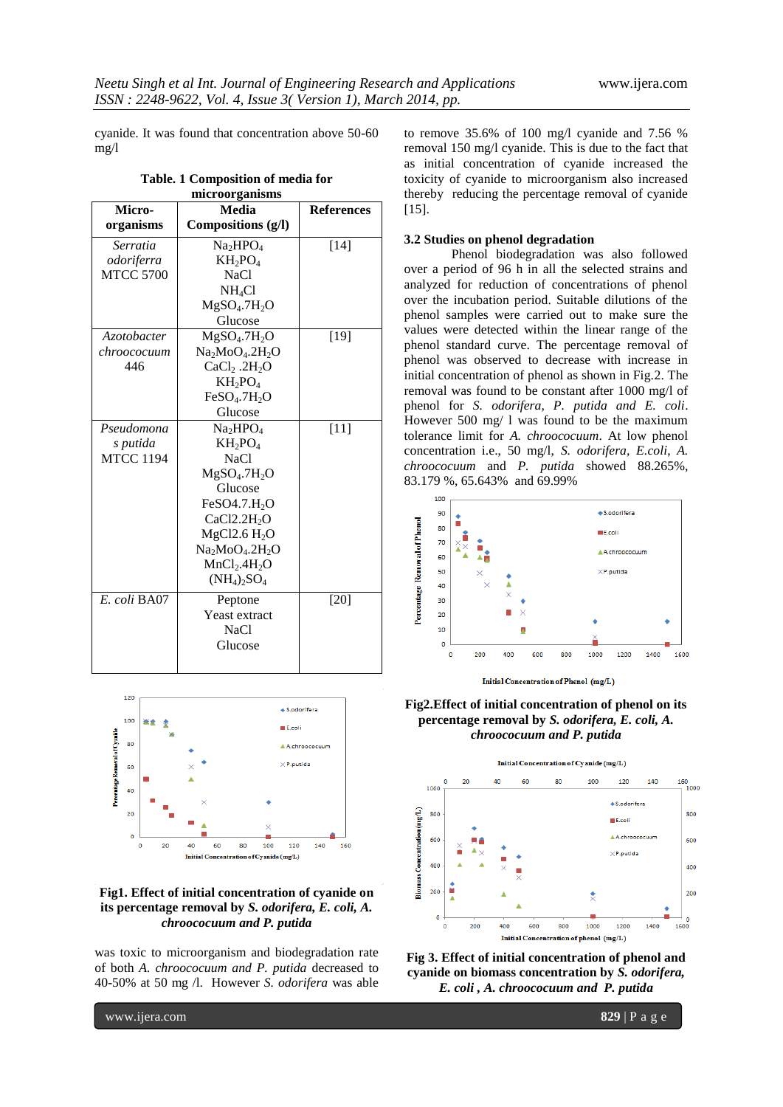cyanide. It was found that concentration above 50-60 mg/l

| microorganisms     |                                      |                   |
|--------------------|--------------------------------------|-------------------|
| Micro-             | Media                                | <b>References</b> |
| organisms          | Compositions (g/l)                   |                   |
| Serratia           | Na <sub>2</sub> HPO <sub>4</sub>     | [14]              |
| odoriferra         | $KH_2PO_4$                           |                   |
| <b>MTCC 5700</b>   | <b>NaCl</b>                          |                   |
|                    | $NH_4Cl$                             |                   |
|                    | MgSO <sub>4</sub> .7H <sub>2</sub> O |                   |
|                    | Glucose                              |                   |
| <i>Azotobacter</i> | MgSO <sub>4</sub> .7H <sub>2</sub> O | $[19]$            |
| chroococuum        | $Na2MoO4.2H2O$                       |                   |
| 446                | $CaCl2$ .2H <sub>2</sub> O           |                   |
|                    | $KH_2PO_4$                           |                   |
|                    | FeSO <sub>4</sub> .7H <sub>2</sub> O |                   |
|                    | Glucose                              |                   |
| Pseudomona         | Na <sub>2</sub> HPO <sub>4</sub>     | $[11]$            |
| s putida           | $KH_2PO_4$                           |                   |
| <b>MTCC 1194</b>   | <b>NaCl</b>                          |                   |
|                    | MgSO <sub>4</sub> .7H <sub>2</sub> O |                   |
|                    | Glucose                              |                   |
|                    | FeSO4.7.H <sub>2</sub> O             |                   |
|                    | CaCl2.2H <sub>2</sub> O              |                   |
|                    | MgCl2.6 H <sub>2</sub> O             |                   |
|                    | $Na2MoO4$ .2H <sub>2</sub> O         |                   |
|                    | MnCl <sub>2</sub> .4H <sub>2</sub> O |                   |
|                    | $(NH_4)_2SO_4$                       |                   |
| E. coli BA07       | Peptone                              | [20]              |
|                    | Yeast extract                        |                   |
|                    | NaCl                                 |                   |
|                    | Glucose                              |                   |
|                    |                                      |                   |

**Table. 1 Composition of media for** 



### **Fig1. Effect of initial concentration of cyanide on its percentage removal by** *S. odorifera, E. coli, A. chroococuum and P. putida*

was toxic to microorganism and biodegradation rate of both *A. chroococuum and P. putida* decreased to 40-50% at 50 mg /l. However *S. odorifera* was able

to remove 35.6% of 100 mg/l cyanide and 7.56 % removal 150 mg/l cyanide. This is due to the fact that as initial concentration of cyanide increased the toxicity of cyanide to microorganism also increased thereby reducing the percentage removal of cyanide [15].

#### **3.2 Studies on phenol degradation**

Phenol biodegradation was also followed over a period of 96 h in all the selected strains and analyzed for reduction of concentrations of phenol over the incubation period. Suitable dilutions of the phenol samples were carried out to make sure the values were detected within the linear range of the phenol standard curve. The percentage removal of phenol was observed to decrease with increase in initial concentration of phenol as shown in Fig.2. The removal was found to be constant after 1000 mg/l of phenol for *S. odorifera, P. putida and E. coli*. However 500 mg/ l was found to be the maximum tolerance limit for *A. chroococuum*. At low phenol concentration i.e., 50 mg/l, *S. odorifera, E.coli*, *A. chroococuum* and *P. putida* showed 88.265%, 83.179 %, 65.643% and 69.99%



**Fig2.Effect of initial concentration of phenol on its percentage removal by** *S. odorifera, E. coli, A. chroococuum and P. putida*



**Fig 3. Effect of initial concentration of phenol and cyanide on biomass concentration by** *S. odorifera, E. coli , A. chroococuum and P. putida*

www.ijera.com **829** | P a g e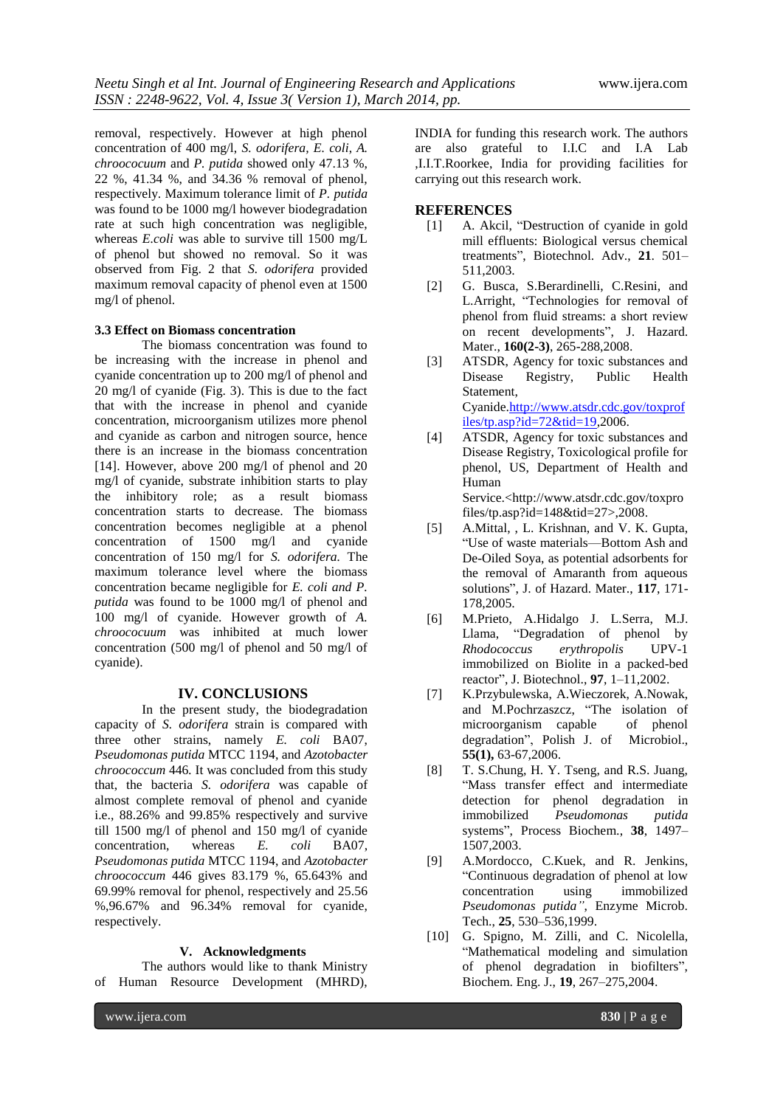removal, respectively. However at high phenol concentration of 400 mg/l, *S. odorifera, E. coli*, *A. chroococuum* and *P. putida* showed only 47.13 %, 22 %, 41.34 %, and 34.36 % removal of phenol, respectively. Maximum tolerance limit of *P. putida* was found to be 1000 mg/l however biodegradation rate at such high concentration was negligible, whereas *E.coli* was able to survive till 1500 mg/L of phenol but showed no removal. So it was observed from Fig. 2 that *S. odorifera* provided maximum removal capacity of phenol even at 1500 mg/l of phenol.

#### **3.3 Effect on Biomass concentration**

The biomass concentration was found to be increasing with the increase in phenol and cyanide concentration up to 200 mg/l of phenol and 20 mg/l of cyanide (Fig. 3). This is due to the fact that with the increase in phenol and cyanide concentration, microorganism utilizes more phenol and cyanide as carbon and nitrogen source, hence there is an increase in the biomass concentration [14]. However, above 200 mg/l of phenol and 20 mg/l of cyanide, substrate inhibition starts to play the inhibitory role; as a result biomass concentration starts to decrease. The biomass concentration becomes negligible at a phenol concentration of 1500 mg/l and cyanide concentration of 150 mg/l for *S. odorifera.* The maximum tolerance level where the biomass concentration became negligible for *E. coli and P. putida* was found to be 1000 mg/l of phenol and 100 mg/l of cyanide. However growth of *A. chroococuum* was inhibited at much lower concentration (500 mg/l of phenol and 50 mg/l of cyanide).

#### **IV. CONCLUSIONS**

In the present study, the biodegradation capacity of *S. odorifera* strain is compared with three other strains, namely *E. coli* BA07, *Pseudomonas putida* MTCC 1194, and *Azotobacter chroococcum* 446*.* It was concluded from this study that, the bacteria *S. odorifera* was capable of almost complete removal of phenol and cyanide i.e., 88.26% and 99.85% respectively and survive till 1500 mg/l of phenol and 150 mg/l of cyanide concentration, whereas *E. coli* BA07, *Pseudomonas putida* MTCC 1194, and *Azotobacter chroococcum* 446 gives 83.179 %, 65.643% and 69.99% removal for phenol, respectively and 25.56 %,96.67% and 96.34% removal for cyanide, respectively.

#### **V. Acknowledgments**

The authors would like to thank Ministry of Human Resource Development (MHRD), INDIA for funding this research work. The authors are also grateful to I.I.C and I.A Lab ,I.I.T.Roorkee, India for providing facilities for carrying out this research work.

#### **REFERENCES**

- [1] A. Akcil, "Destruction of cyanide in gold mill effluents: Biological versus chemical treatments", Biotechnol. Adv., 21. 501-511,2003.
- [2] G. Busca, S.Berardinelli, C.Resini, and L.Arright, "Technologies for removal of phenol from fluid streams: a short review on recent developments", J. Hazard. Mater., **160(2-3)**, 265-288,2008.
- [3] ATSDR, Agency for toxic substances and Disease Registry, Public Health Statement, Cyanide[.http://www.atsdr.cdc.gov/toxprof](http://www.atsdr.cdc.gov/toxprofiles/tp.asp?id=72&tid=19) [iles/tp.asp?id=72&tid=19,](http://www.atsdr.cdc.gov/toxprofiles/tp.asp?id=72&tid=19)2006.
- [4] ATSDR, Agency for toxic substances and Disease Registry, Toxicological profile for phenol, US, Department of Health and Human Service.[<http://www.atsdr.cdc.gov/toxpro](http://www.atsdr.cdc.gov/toxprofiles/tp.asp?id=148&tid=27) [files/tp.asp?id=148&tid=27>](http://www.atsdr.cdc.gov/toxprofiles/tp.asp?id=148&tid=27),2008.
- [5] A.Mittal, , L. Krishnan, and V. K. Gupta, ―Use of waste materials—Bottom Ash and De-Oiled Soya, as potential adsorbents for the removal of Amaranth from aqueous solutions‖, J. of Hazard. Mater., **117**, 171- 178,2005.
- [6] M.Prieto, A.Hidalgo J. L.Serra, M.J. Llama, "Degradation of phenol by *Rhodococcus erythropolis* UPV-1 immobilized on Biolite in a packed-bed reactor‖, J. Biotechnol., **97**, 1–11,2002.
- [7] K.Przybulewska, A.Wieczorek, A.Nowak, and M.Pochrzaszcz, "The isolation of microorganism capable of phenol degradation", Polish J. of Microbiol., **55(1),** 63-67,2006.
- [8] T. S.Chung, H. Y. Tseng, and R.S. Juang, "Mass transfer effect and intermediate detection for phenol degradation in immobilized *Pseudomonas putida*  systems", Process Biochem., 38, 1497– 1507,2003.
- [9] A.Mordocco, C.Kuek, and R. Jenkins, ―Continuous degradation of phenol at low concentration using immobilized *Pseudomonas putida"*, Enzyme Microb. Tech., **25**, 530–536,1999.
- [10] G. Spigno, M. Zilli, and C. Nicolella, "Mathematical modeling and simulation of phenol degradation in biofilters", Biochem. Eng. J., **19**, 267–275,2004.